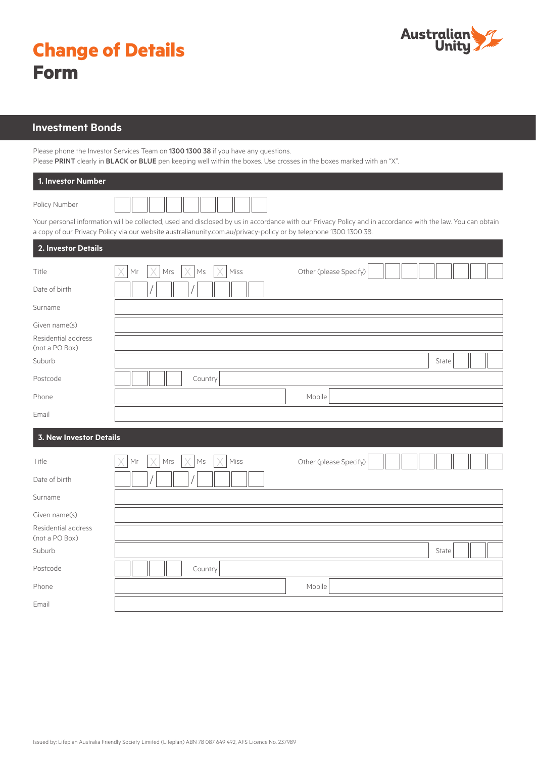

| <b>Change of Details</b> |  |
|--------------------------|--|
| <b>Form</b>              |  |

## **Investment Bonds**

Please phone the Investor Services Team on 1300 1300 38 if you have any questions. Please PRINT clearly in BLACK or BLUE pen keeping well within the boxes. Use crosses in the boxes marked with an "X".

| 1. Investor Number                    |                                                                                                                                                                                                                                                                                |  |  |  |
|---------------------------------------|--------------------------------------------------------------------------------------------------------------------------------------------------------------------------------------------------------------------------------------------------------------------------------|--|--|--|
| Policy Number                         |                                                                                                                                                                                                                                                                                |  |  |  |
|                                       | Your personal information will be collected, used and disclosed by us in accordance with our Privacy Policy and in accordance with the law. You can obtain<br>a copy of our Privacy Policy via our website australianunity.com.au/privacy-policy or by telephone 1300 1300 38. |  |  |  |
| 2. Investor Details                   |                                                                                                                                                                                                                                                                                |  |  |  |
| Title                                 | Other (please Specify)<br>Mrs<br>Ms<br>Miss<br>Mr                                                                                                                                                                                                                              |  |  |  |
| Date of birth                         |                                                                                                                                                                                                                                                                                |  |  |  |
| Surname                               |                                                                                                                                                                                                                                                                                |  |  |  |
| Given name(s)                         |                                                                                                                                                                                                                                                                                |  |  |  |
| Residential address<br>(not a PO Box) |                                                                                                                                                                                                                                                                                |  |  |  |
| Suburb                                | State                                                                                                                                                                                                                                                                          |  |  |  |
| Postcode                              | Country                                                                                                                                                                                                                                                                        |  |  |  |
| Phone                                 | Mobile                                                                                                                                                                                                                                                                         |  |  |  |
| Email                                 |                                                                                                                                                                                                                                                                                |  |  |  |
| <b>3. New Investor Details</b>        |                                                                                                                                                                                                                                                                                |  |  |  |
| Title                                 | Other (please Specify)<br>Ms<br>Miss<br>Мr<br>Mrs                                                                                                                                                                                                                              |  |  |  |
| Date of birth                         |                                                                                                                                                                                                                                                                                |  |  |  |
| Surname                               |                                                                                                                                                                                                                                                                                |  |  |  |
| Given name(s)                         |                                                                                                                                                                                                                                                                                |  |  |  |
| Residential address<br>(not a PO Box) |                                                                                                                                                                                                                                                                                |  |  |  |
| Suburb                                | State                                                                                                                                                                                                                                                                          |  |  |  |
| Postcode                              | Country                                                                                                                                                                                                                                                                        |  |  |  |
| Phone                                 | Mobile                                                                                                                                                                                                                                                                         |  |  |  |
| Email                                 |                                                                                                                                                                                                                                                                                |  |  |  |